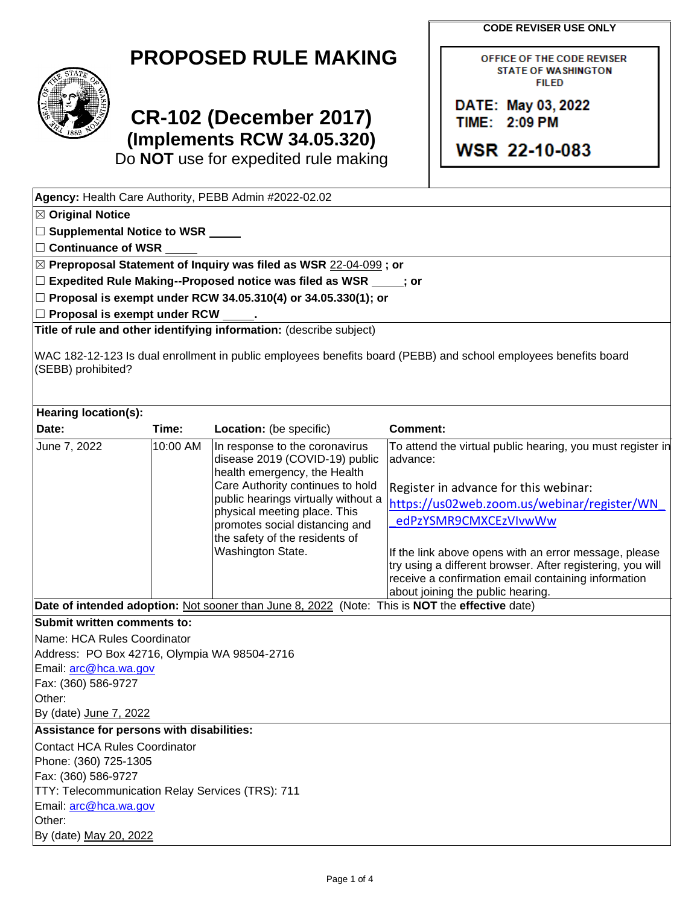**CODE REVISER USE ONLY**

OFFICE OF THE CODE REVISER **STATE OF WASHINGTON FILED** 

DATE: May 03, 2022 **TIME: 2:09 PM** 

**WSR 22-10-083** 

## **PROPOSED RULE MAKING**



## **CR-102 (December 2017) (Implements RCW 34.05.320)**

Do **NOT** use for expedited rule making

| Agency: Health Care Authority, PEBB Admin #2022-02.02                                                                                                                                                                                |          |                                                                                                |                                                                        |  |  |  |  |                                                 |  |                                                                     |  |  |  |  |  |
|--------------------------------------------------------------------------------------------------------------------------------------------------------------------------------------------------------------------------------------|----------|------------------------------------------------------------------------------------------------|------------------------------------------------------------------------|--|--|--|--|-------------------------------------------------|--|---------------------------------------------------------------------|--|--|--|--|--|
| ⊠ Original Notice                                                                                                                                                                                                                    |          |                                                                                                |                                                                        |  |  |  |  |                                                 |  |                                                                     |  |  |  |  |  |
| $\Box$ Supplemental Notice to WSR $\rule{1em}{0.15mm}$                                                                                                                                                                               |          |                                                                                                |                                                                        |  |  |  |  |                                                 |  |                                                                     |  |  |  |  |  |
| $\Box$ Continuance of WSR                                                                                                                                                                                                            |          |                                                                                                |                                                                        |  |  |  |  |                                                 |  |                                                                     |  |  |  |  |  |
| ⊠ Preproposal Statement of Inquiry was filed as WSR 22-04-099 ; or<br>$\square$ Expedited Rule Making--Proposed notice was filed as WSR $\rule{1em}{0.15mm}$ j or<br>□ Proposal is exempt under RCW 34.05.310(4) or 34.05.330(1); or |          |                                                                                                |                                                                        |  |  |  |  |                                                 |  |                                                                     |  |  |  |  |  |
|                                                                                                                                                                                                                                      |          |                                                                                                |                                                                        |  |  |  |  | $\Box$ Proposal is exempt under RCW $\_\_\_\$ . |  |                                                                     |  |  |  |  |  |
|                                                                                                                                                                                                                                      |          |                                                                                                |                                                                        |  |  |  |  |                                                 |  | Title of rule and other identifying information: (describe subject) |  |  |  |  |  |
| WAC 182-12-123 Is dual enrollment in public employees benefits board (PEBB) and school employees benefits board<br>(SEBB) prohibited?                                                                                                |          |                                                                                                |                                                                        |  |  |  |  |                                                 |  |                                                                     |  |  |  |  |  |
| Hearing location(s):                                                                                                                                                                                                                 |          |                                                                                                |                                                                        |  |  |  |  |                                                 |  |                                                                     |  |  |  |  |  |
| Date:                                                                                                                                                                                                                                | Time:    | Location: (be specific)                                                                        | <b>Comment:</b>                                                        |  |  |  |  |                                                 |  |                                                                     |  |  |  |  |  |
| June 7, 2022                                                                                                                                                                                                                         | 10:00 AM | In response to the coronavirus<br>disease 2019 (COVID-19) public                               | To attend the virtual public hearing, you must register in<br>advance: |  |  |  |  |                                                 |  |                                                                     |  |  |  |  |  |
|                                                                                                                                                                                                                                      |          | health emergency, the Health                                                                   |                                                                        |  |  |  |  |                                                 |  |                                                                     |  |  |  |  |  |
|                                                                                                                                                                                                                                      |          | Care Authority continues to hold                                                               | Register in advance for this webinar:                                  |  |  |  |  |                                                 |  |                                                                     |  |  |  |  |  |
|                                                                                                                                                                                                                                      |          | public hearings virtually without a<br>physical meeting place. This                            | https://us02web.zoom.us/webinar/register/WN                            |  |  |  |  |                                                 |  |                                                                     |  |  |  |  |  |
|                                                                                                                                                                                                                                      |          | promotes social distancing and                                                                 | edPzYSMR9CMXCEzVIvwWw                                                  |  |  |  |  |                                                 |  |                                                                     |  |  |  |  |  |
|                                                                                                                                                                                                                                      |          | the safety of the residents of                                                                 |                                                                        |  |  |  |  |                                                 |  |                                                                     |  |  |  |  |  |
|                                                                                                                                                                                                                                      |          | Washington State.                                                                              | If the link above opens with an error message, please                  |  |  |  |  |                                                 |  |                                                                     |  |  |  |  |  |
|                                                                                                                                                                                                                                      |          |                                                                                                | try using a different browser. After registering, you will             |  |  |  |  |                                                 |  |                                                                     |  |  |  |  |  |
|                                                                                                                                                                                                                                      |          |                                                                                                | receive a confirmation email containing information                    |  |  |  |  |                                                 |  |                                                                     |  |  |  |  |  |
|                                                                                                                                                                                                                                      |          | Date of intended adoption: Not sooner than June 8, 2022 (Note: This is NOT the effective date) | about joining the public hearing.                                      |  |  |  |  |                                                 |  |                                                                     |  |  |  |  |  |
|                                                                                                                                                                                                                                      |          |                                                                                                |                                                                        |  |  |  |  |                                                 |  |                                                                     |  |  |  |  |  |
| Submit written comments to:                                                                                                                                                                                                          |          |                                                                                                |                                                                        |  |  |  |  |                                                 |  |                                                                     |  |  |  |  |  |
| Name: HCA Rules Coordinator                                                                                                                                                                                                          |          |                                                                                                |                                                                        |  |  |  |  |                                                 |  |                                                                     |  |  |  |  |  |
| Address: PO Box 42716, Olympia WA 98504-2716<br>Email: arc@hca.wa.gov                                                                                                                                                                |          |                                                                                                |                                                                        |  |  |  |  |                                                 |  |                                                                     |  |  |  |  |  |
| Fax: (360) 586-9727                                                                                                                                                                                                                  |          |                                                                                                |                                                                        |  |  |  |  |                                                 |  |                                                                     |  |  |  |  |  |
| Other:                                                                                                                                                                                                                               |          |                                                                                                |                                                                        |  |  |  |  |                                                 |  |                                                                     |  |  |  |  |  |
| By (date) June 7, 2022                                                                                                                                                                                                               |          |                                                                                                |                                                                        |  |  |  |  |                                                 |  |                                                                     |  |  |  |  |  |
| Assistance for persons with disabilities:                                                                                                                                                                                            |          |                                                                                                |                                                                        |  |  |  |  |                                                 |  |                                                                     |  |  |  |  |  |
| <b>Contact HCA Rules Coordinator</b>                                                                                                                                                                                                 |          |                                                                                                |                                                                        |  |  |  |  |                                                 |  |                                                                     |  |  |  |  |  |
| Phone: (360) 725-1305                                                                                                                                                                                                                |          |                                                                                                |                                                                        |  |  |  |  |                                                 |  |                                                                     |  |  |  |  |  |
| Fax: (360) 586-9727                                                                                                                                                                                                                  |          |                                                                                                |                                                                        |  |  |  |  |                                                 |  |                                                                     |  |  |  |  |  |
| TTY: Telecommunication Relay Services (TRS): 711                                                                                                                                                                                     |          |                                                                                                |                                                                        |  |  |  |  |                                                 |  |                                                                     |  |  |  |  |  |
| Email: arc@hca.wa.gov                                                                                                                                                                                                                |          |                                                                                                |                                                                        |  |  |  |  |                                                 |  |                                                                     |  |  |  |  |  |
| Other:                                                                                                                                                                                                                               |          |                                                                                                |                                                                        |  |  |  |  |                                                 |  |                                                                     |  |  |  |  |  |
| By (date) May 20, 2022                                                                                                                                                                                                               |          |                                                                                                |                                                                        |  |  |  |  |                                                 |  |                                                                     |  |  |  |  |  |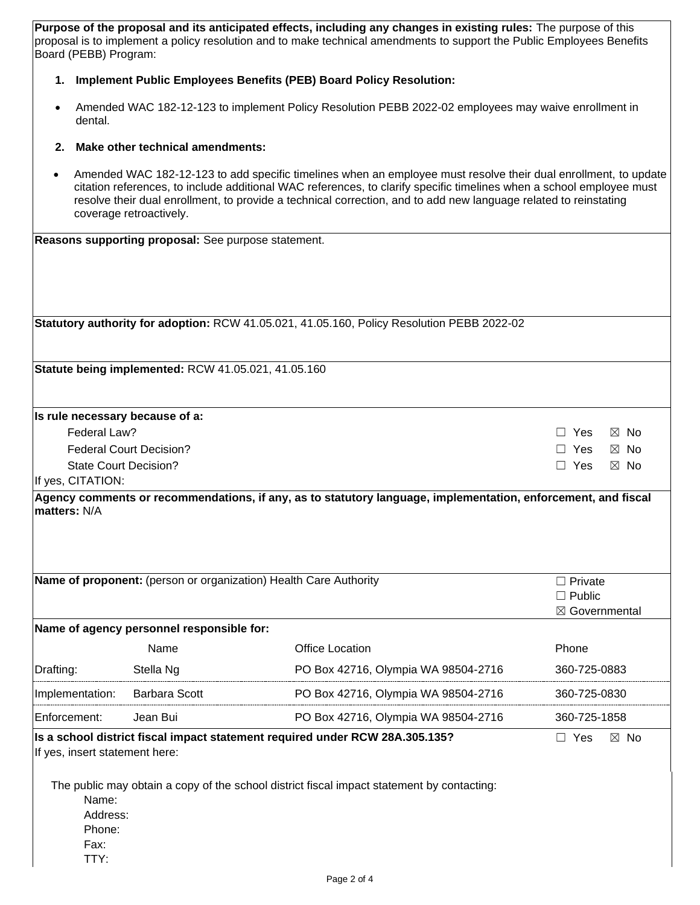**Purpose of the proposal and its anticipated effects, including any changes in existing rules:** The purpose of this proposal is to implement a policy resolution and to make technical amendments to support the Public Employees Benefits Board (PEBB) Program:

## **1. Implement Public Employees Benefits (PEB) Board Policy Resolution:**

• Amended WAC 182-12-123 to implement Policy Resolution PEBB 2022-02 employees may waive enrollment in dental.

## **2. Make other technical amendments:**

• Amended WAC 182-12-123 to add specific timelines when an employee must resolve their dual enrollment, to update citation references, to include additional WAC references, to clarify specific timelines when a school employee must resolve their dual enrollment, to provide a technical correction, and to add new language related to reinstating coverage retroactively.

| Reasons supporting proposal: See purpose statement.                                        |                                                     |                                                                                                               |                              |  |  |  |
|--------------------------------------------------------------------------------------------|-----------------------------------------------------|---------------------------------------------------------------------------------------------------------------|------------------------------|--|--|--|
|                                                                                            |                                                     |                                                                                                               |                              |  |  |  |
|                                                                                            |                                                     |                                                                                                               |                              |  |  |  |
|                                                                                            |                                                     |                                                                                                               |                              |  |  |  |
|                                                                                            |                                                     | Statutory authority for adoption: RCW 41.05.021, 41.05.160, Policy Resolution PEBB 2022-02                    |                              |  |  |  |
|                                                                                            |                                                     |                                                                                                               |                              |  |  |  |
|                                                                                            | Statute being implemented: RCW 41.05.021, 41.05.160 |                                                                                                               |                              |  |  |  |
|                                                                                            |                                                     |                                                                                                               |                              |  |  |  |
| Is rule necessary because of a:                                                            |                                                     |                                                                                                               |                              |  |  |  |
| Federal Law?                                                                               |                                                     |                                                                                                               | $\boxtimes$ No<br>Yes        |  |  |  |
| <b>Federal Court Decision?</b>                                                             | Yes<br>$\boxtimes$ No                               |                                                                                                               |                              |  |  |  |
| <b>State Court Decision?</b>                                                               | $\Box$ Yes<br>$\boxtimes$ No                        |                                                                                                               |                              |  |  |  |
| If yes, CITATION:                                                                          |                                                     | Agency comments or recommendations, if any, as to statutory language, implementation, enforcement, and fiscal |                              |  |  |  |
|                                                                                            |                                                     |                                                                                                               |                              |  |  |  |
|                                                                                            |                                                     | Name of proponent: (person or organization) Health Care Authority                                             | $\Box$ Private               |  |  |  |
|                                                                                            |                                                     |                                                                                                               | $\Box$ Public                |  |  |  |
|                                                                                            | Name of agency personnel responsible for:           |                                                                                                               | ⊠ Governmental               |  |  |  |
|                                                                                            | Name                                                | <b>Office Location</b>                                                                                        | Phone                        |  |  |  |
|                                                                                            |                                                     |                                                                                                               |                              |  |  |  |
| Drafting:                                                                                  | Stella Ng                                           | PO Box 42716, Olympia WA 98504-2716                                                                           | 360-725-0883                 |  |  |  |
| Implementation:                                                                            | <b>Barbara Scott</b>                                | PO Box 42716, Olympia WA 98504-2716                                                                           | 360-725-0830                 |  |  |  |
| Enforcement:                                                                               | Jean Bui                                            | PO Box 42716, Olympia WA 98504-2716                                                                           | 360-725-1858                 |  |  |  |
|                                                                                            |                                                     | Is a school district fiscal impact statement required under RCW 28A.305.135?                                  | $\Box$ Yes<br>$\boxtimes$ No |  |  |  |
| If yes, insert statement here:                                                             |                                                     |                                                                                                               |                              |  |  |  |
| The public may obtain a copy of the school district fiscal impact statement by contacting: |                                                     |                                                                                                               |                              |  |  |  |
| Name:                                                                                      |                                                     |                                                                                                               |                              |  |  |  |
| Address:                                                                                   |                                                     |                                                                                                               |                              |  |  |  |
| Phone:                                                                                     |                                                     |                                                                                                               |                              |  |  |  |
| Fax:                                                                                       |                                                     |                                                                                                               |                              |  |  |  |
| TTY:                                                                                       |                                                     |                                                                                                               |                              |  |  |  |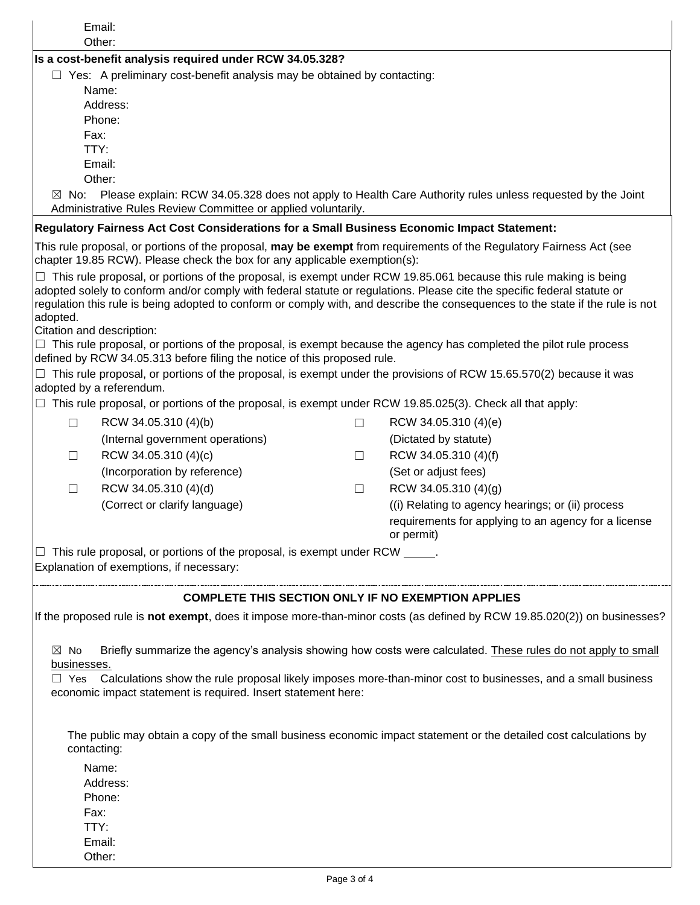|                                                                                                                                                                                            | Email:<br>Other:                                                                                                                                                                                                                                    |        |                                                                                                                                |  |  |  |  |
|--------------------------------------------------------------------------------------------------------------------------------------------------------------------------------------------|-----------------------------------------------------------------------------------------------------------------------------------------------------------------------------------------------------------------------------------------------------|--------|--------------------------------------------------------------------------------------------------------------------------------|--|--|--|--|
|                                                                                                                                                                                            | Is a cost-benefit analysis required under RCW 34.05.328?                                                                                                                                                                                            |        |                                                                                                                                |  |  |  |  |
| $\Box$ Yes: A preliminary cost-benefit analysis may be obtained by contacting:                                                                                                             |                                                                                                                                                                                                                                                     |        |                                                                                                                                |  |  |  |  |
|                                                                                                                                                                                            | Name:                                                                                                                                                                                                                                               |        |                                                                                                                                |  |  |  |  |
|                                                                                                                                                                                            | Address:                                                                                                                                                                                                                                            |        |                                                                                                                                |  |  |  |  |
|                                                                                                                                                                                            | Phone:                                                                                                                                                                                                                                              |        |                                                                                                                                |  |  |  |  |
| Fax:                                                                                                                                                                                       |                                                                                                                                                                                                                                                     |        |                                                                                                                                |  |  |  |  |
|                                                                                                                                                                                            | TTY:                                                                                                                                                                                                                                                |        |                                                                                                                                |  |  |  |  |
|                                                                                                                                                                                            | Email:                                                                                                                                                                                                                                              |        |                                                                                                                                |  |  |  |  |
|                                                                                                                                                                                            | Other:                                                                                                                                                                                                                                              |        |                                                                                                                                |  |  |  |  |
| $\boxtimes$ No:                                                                                                                                                                            |                                                                                                                                                                                                                                                     |        | Please explain: RCW 34.05.328 does not apply to Health Care Authority rules unless requested by the Joint                      |  |  |  |  |
|                                                                                                                                                                                            | Administrative Rules Review Committee or applied voluntarily.                                                                                                                                                                                       |        |                                                                                                                                |  |  |  |  |
|                                                                                                                                                                                            | Regulatory Fairness Act Cost Considerations for a Small Business Economic Impact Statement:                                                                                                                                                         |        | This rule proposal, or portions of the proposal, may be exempt from requirements of the Regulatory Fairness Act (see           |  |  |  |  |
|                                                                                                                                                                                            | chapter 19.85 RCW). Please check the box for any applicable exemption(s):                                                                                                                                                                           |        |                                                                                                                                |  |  |  |  |
|                                                                                                                                                                                            | $\Box$ This rule proposal, or portions of the proposal, is exempt under RCW 19.85.061 because this rule making is being<br>adopted solely to conform and/or comply with federal statute or regulations. Please cite the specific federal statute or |        |                                                                                                                                |  |  |  |  |
|                                                                                                                                                                                            |                                                                                                                                                                                                                                                     |        | regulation this rule is being adopted to conform or comply with, and describe the consequences to the state if the rule is not |  |  |  |  |
| adopted.                                                                                                                                                                                   |                                                                                                                                                                                                                                                     |        |                                                                                                                                |  |  |  |  |
| Citation and description:                                                                                                                                                                  |                                                                                                                                                                                                                                                     |        |                                                                                                                                |  |  |  |  |
|                                                                                                                                                                                            |                                                                                                                                                                                                                                                     |        | $\Box$ This rule proposal, or portions of the proposal, is exempt because the agency has completed the pilot rule process      |  |  |  |  |
|                                                                                                                                                                                            | defined by RCW 34.05.313 before filing the notice of this proposed rule.                                                                                                                                                                            |        |                                                                                                                                |  |  |  |  |
|                                                                                                                                                                                            | adopted by a referendum.                                                                                                                                                                                                                            |        | $\Box$ This rule proposal, or portions of the proposal, is exempt under the provisions of RCW 15.65.570(2) because it was      |  |  |  |  |
|                                                                                                                                                                                            | $\Box$ This rule proposal, or portions of the proposal, is exempt under RCW 19.85.025(3). Check all that apply:                                                                                                                                     |        |                                                                                                                                |  |  |  |  |
|                                                                                                                                                                                            |                                                                                                                                                                                                                                                     |        |                                                                                                                                |  |  |  |  |
| $\Box$                                                                                                                                                                                     | RCW 34.05.310 (4)(b)                                                                                                                                                                                                                                | $\Box$ | RCW 34.05.310 (4)(e)                                                                                                           |  |  |  |  |
|                                                                                                                                                                                            | (Internal government operations)                                                                                                                                                                                                                    |        | (Dictated by statute)                                                                                                          |  |  |  |  |
| $\Box$                                                                                                                                                                                     | RCW 34.05.310 (4)(c)                                                                                                                                                                                                                                | $\Box$ | RCW 34.05.310 (4)(f)                                                                                                           |  |  |  |  |
|                                                                                                                                                                                            | (Incorporation by reference)                                                                                                                                                                                                                        |        | (Set or adjust fees)                                                                                                           |  |  |  |  |
| $\Box$                                                                                                                                                                                     | RCW 34.05.310 (4)(d)                                                                                                                                                                                                                                | Ш      | RCW 34.05.310 (4)(g)                                                                                                           |  |  |  |  |
|                                                                                                                                                                                            | (Correct or clarify language)                                                                                                                                                                                                                       |        | (i) Relating to agency hearings; or (ii) process                                                                               |  |  |  |  |
|                                                                                                                                                                                            |                                                                                                                                                                                                                                                     |        | requirements for applying to an agency for a license<br>or permit)                                                             |  |  |  |  |
|                                                                                                                                                                                            |                                                                                                                                                                                                                                                     |        |                                                                                                                                |  |  |  |  |
|                                                                                                                                                                                            | $\Box$ This rule proposal, or portions of the proposal, is exempt under RCW $\_\_\_\_\.\$<br>Explanation of exemptions, if necessary:                                                                                                               |        |                                                                                                                                |  |  |  |  |
|                                                                                                                                                                                            |                                                                                                                                                                                                                                                     |        |                                                                                                                                |  |  |  |  |
|                                                                                                                                                                                            | <b>COMPLETE THIS SECTION ONLY IF NO EXEMPTION APPLIES</b>                                                                                                                                                                                           |        |                                                                                                                                |  |  |  |  |
|                                                                                                                                                                                            |                                                                                                                                                                                                                                                     |        | If the proposed rule is not exempt, does it impose more-than-minor costs (as defined by RCW 19.85.020(2)) on businesses?       |  |  |  |  |
| Briefly summarize the agency's analysis showing how costs were calculated. These rules do not apply to small<br>$\boxtimes$ No                                                             |                                                                                                                                                                                                                                                     |        |                                                                                                                                |  |  |  |  |
| businesses.                                                                                                                                                                                |                                                                                                                                                                                                                                                     |        |                                                                                                                                |  |  |  |  |
| Calculations show the rule proposal likely imposes more-than-minor cost to businesses, and a small business<br>$\Box$ Yes<br>economic impact statement is required. Insert statement here: |                                                                                                                                                                                                                                                     |        |                                                                                                                                |  |  |  |  |
|                                                                                                                                                                                            |                                                                                                                                                                                                                                                     |        |                                                                                                                                |  |  |  |  |
|                                                                                                                                                                                            |                                                                                                                                                                                                                                                     |        |                                                                                                                                |  |  |  |  |
| contacting:                                                                                                                                                                                |                                                                                                                                                                                                                                                     |        | The public may obtain a copy of the small business economic impact statement or the detailed cost calculations by              |  |  |  |  |
|                                                                                                                                                                                            | Name:                                                                                                                                                                                                                                               |        |                                                                                                                                |  |  |  |  |
| Address:                                                                                                                                                                                   |                                                                                                                                                                                                                                                     |        |                                                                                                                                |  |  |  |  |
| Phone:                                                                                                                                                                                     |                                                                                                                                                                                                                                                     |        |                                                                                                                                |  |  |  |  |
| Fax:                                                                                                                                                                                       |                                                                                                                                                                                                                                                     |        |                                                                                                                                |  |  |  |  |
| TTY:                                                                                                                                                                                       |                                                                                                                                                                                                                                                     |        |                                                                                                                                |  |  |  |  |
|                                                                                                                                                                                            | Email:                                                                                                                                                                                                                                              |        |                                                                                                                                |  |  |  |  |
|                                                                                                                                                                                            | Other:                                                                                                                                                                                                                                              |        |                                                                                                                                |  |  |  |  |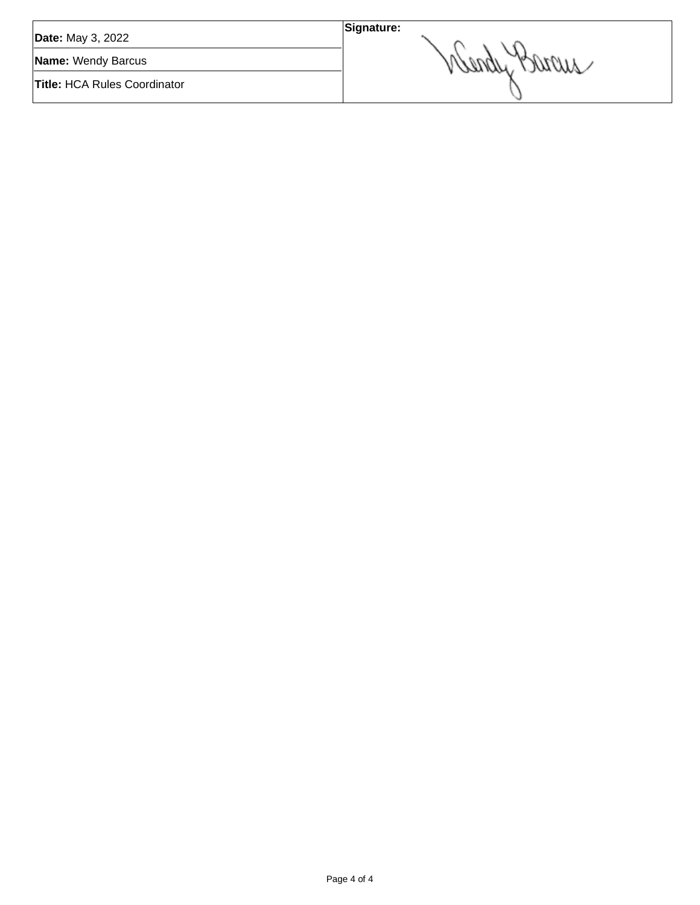| <b>Date:</b> May 3, 2022            | Signature: |
|-------------------------------------|------------|
| Name: Wendy Barcus                  | would      |
| <b>Title: HCA Rules Coordinator</b> |            |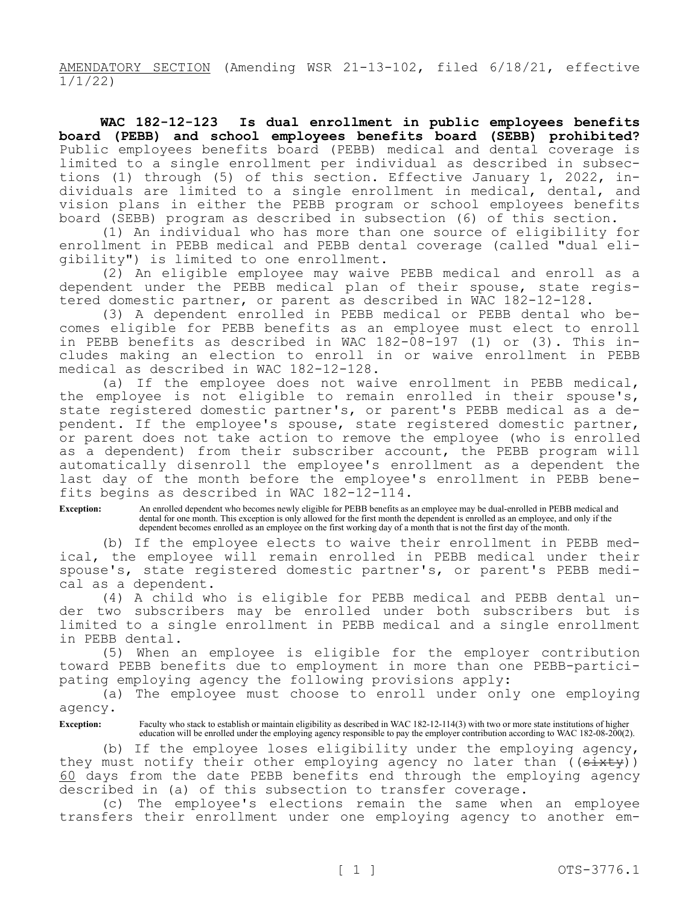AMENDATORY SECTION (Amending WSR 21-13-102, filed 6/18/21, effective 1/1/22)

**WAC 182-12-123 Is dual enrollment in public employees benefits board (PEBB) and school employees benefits board (SEBB) prohibited?**  Public employees benefits board (PEBB) medical and dental coverage is limited to a single enrollment per individual as described in subsections (1) through (5) of this section. Effective January 1, 2022, individuals are limited to a single enrollment in medical, dental, and vision plans in either the PEBB program or school employees benefits board (SEBB) program as described in subsection (6) of this section.

(1) An individual who has more than one source of eligibility for enrollment in PEBB medical and PEBB dental coverage (called "dual eligibility") is limited to one enrollment.

(2) An eligible employee may waive PEBB medical and enroll as a dependent under the PEBB medical plan of their spouse, state registered domestic partner, or parent as described in WAC 182-12-128.

(3) A dependent enrolled in PEBB medical or PEBB dental who becomes eligible for PEBB benefits as an employee must elect to enroll in PEBB benefits as described in WAC 182-08-197 (1) or (3). This includes making an election to enroll in or waive enrollment in PEBB medical as described in WAC 182-12-128.

(a) If the employee does not waive enrollment in PEBB medical, the employee is not eligible to remain enrolled in their spouse's, state registered domestic partner's, or parent's PEBB medical as a dependent. If the employee's spouse, state registered domestic partner, or parent does not take action to remove the employee (who is enrolled as a dependent) from their subscriber account, the PEBB program will automatically disenroll the employee's enrollment as a dependent the last day of the month before the employee's enrollment in PEBB benefits begins as described in WAC 182-12-114.

**Exception:** An enrolled dependent who becomes newly eligible for PEBB benefits as an employee may be dual-enrolled in PEBB medical and dental for one month. This exception is only allowed for the first month the dependent is enrolled as an employee, and only if the dependent becomes enrolled as an employee on the first working day of a month that is not the first day of the month.

(b) If the employee elects to waive their enrollment in PEBB medical, the employee will remain enrolled in PEBB medical under their spouse's, state registered domestic partner's, or parent's PEBB medical as a dependent.

(4) A child who is eligible for PEBB medical and PEBB dental under two subscribers may be enrolled under both subscribers but is limited to a single enrollment in PEBB medical and a single enrollment in PEBB dental.

(5) When an employee is eligible for the employer contribution toward PEBB benefits due to employment in more than one PEBB-participating employing agency the following provisions apply:

(a) The employee must choose to enroll under only one employing agency.

**Exception:** Faculty who stack to establish or maintain eligibility as described in WAC 182-12-114(3) with two or more state institutions of higher education will be enrolled under the employing agency responsible to pay the employer contribution according to WAC 182-08-200(2).

(b) If the employee loses eligibility under the employing agency, they must notify their other employing agency no later than ((sixty)) 60 days from the date PEBB benefits end through the employing agency described in (a) of this subsection to transfer coverage.

(c) The employee's elections remain the same when an employee transfers their enrollment under one employing agency to another em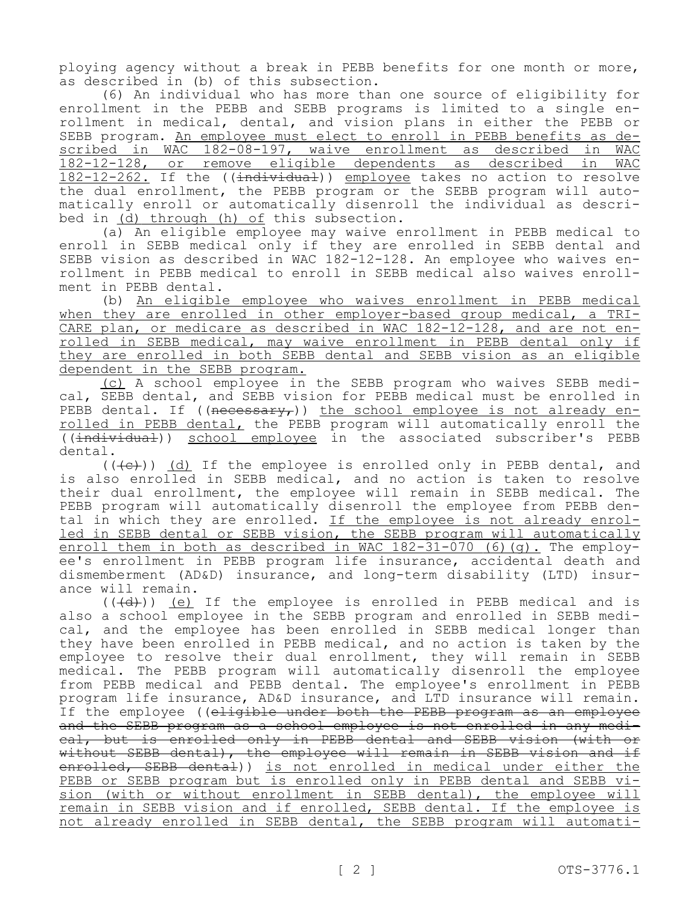ploying agency without a break in PEBB benefits for one month or more, as described in (b) of this subsection.

(6) An individual who has more than one source of eligibility for enrollment in the PEBB and SEBB programs is limited to a single enrollment in medical, dental, and vision plans in either the PEBB or SEBB program. An employee must elect to enroll in PEBB benefits as described in WAC 182-08-197, waive enrollment as described in WAC 182-12-128, or remove eligible dependents as described in WAC 182-12-262. If the ((individual)) employee takes no action to resolve the dual enrollment, the PEBB program or the SEBB program will automatically enroll or automatically disenroll the individual as described in (d) through (h) of this subsection.

(a) An eligible employee may waive enrollment in PEBB medical to enroll in SEBB medical only if they are enrolled in SEBB dental and SEBB vision as described in WAC 182-12-128. An employee who waives enrollment in PEBB medical to enroll in SEBB medical also waives enrollment in PEBB dental.

(b) An eligible employee who waives enrollment in PEBB medical when they are enrolled in other employer-based group medical, a TRI-CARE plan, or medicare as described in WAC 182-12-128, and are not enrolled in SEBB medical, may waive enrollment in PEBB dental only if they are enrolled in both SEBB dental and SEBB vision as an eligible dependent in the SEBB program.

(c) A school employee in the SEBB program who waives SEBB medical, SEBB dental, and SEBB vision for PEBB medical must be enrolled in PEBB dental. If (( $n$ ecessary,)) the school employee is not already enrolled in PEBB dental, the PEBB program will automatically enroll the ((individual)) school employee in the associated subscriber's PEBB dental.

 $((+e))$  (d) If the employee is enrolled only in PEBB dental, and is also enrolled in SEBB medical, and no action is taken to resolve their dual enrollment, the employee will remain in SEBB medical. The PEBB program will automatically disenroll the employee from PEBB dental in which they are enrolled. If the employee is not already enrolled in SEBB dental or SEBB vision, the SEBB program will automatically enroll them in both as described in WAC 182-31-070 (6)(g). The employee's enrollment in PEBB program life insurance, accidental death and dismemberment (AD&D) insurance, and long-term disability (LTD) insurance will remain.

 $((\overline{(d)}))$  (e) If the employee is enrolled in PEBB medical and is also a school employee in the SEBB program and enrolled in SEBB medical, and the employee has been enrolled in SEBB medical longer than they have been enrolled in PEBB medical, and no action is taken by the employee to resolve their dual enrollment, they will remain in SEBB medical. The PEBB program will automatically disenroll the employee from PEBB medical and PEBB dental. The employee's enrollment in PEBB program life insurance, AD&D insurance, and LTD insurance will remain. If the employee ((eligible under both the PEBB program as an employee and the SEBB program as a school employee is not enrolled in any medical, but is enrolled only in PEBB dental and SEBB vision (with or without SEBB dental), the employee will remain in SEBB vision and if enrolled, SEBB dental)) is not enrolled in medical under either the PEBB or SEBB program but is enrolled only in PEBB dental and SEBB vision (with or without enrollment in SEBB dental), the employee will remain in SEBB vision and if enrolled, SEBB dental. If the employee is not already enrolled in SEBB dental, the SEBB program will automati